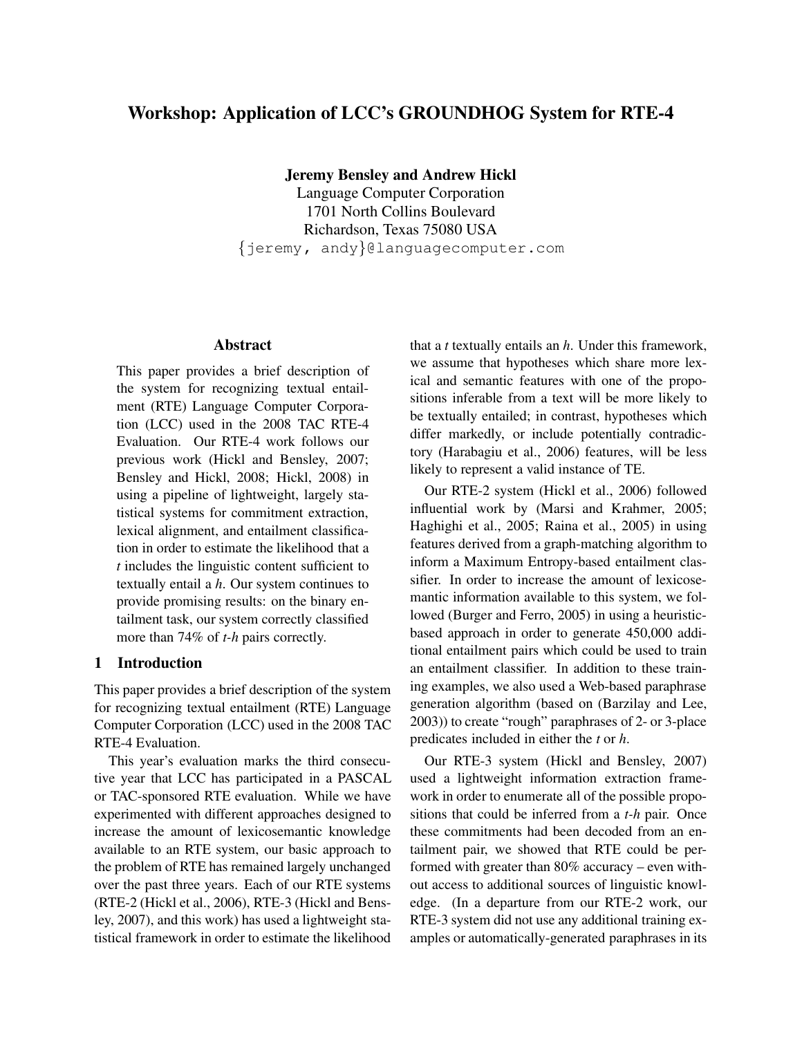# **Workshop: Application of LCC's GROUNDHOG System for RTE-4**

**Jeremy Bensley and Andrew Hickl**

Language Computer Corporation 1701 North Collins Boulevard Richardson, Texas 75080 USA {jeremy, andy}@languagecomputer.com

## **Abstract**

This paper provides a brief description of the system for recognizing textual entailment (RTE) Language Computer Corporation (LCC) used in the 2008 TAC RTE-4 Evaluation. Our RTE-4 work follows our previous work (Hickl and Bensley, 2007; Bensley and Hickl, 2008; Hickl, 2008) in using a pipeline of lightweight, largely statistical systems for commitment extraction, lexical alignment, and entailment classification in order to estimate the likelihood that a *t* includes the linguistic content sufficient to textually entail a *h*. Our system continues to provide promising results: on the binary entailment task, our system correctly classified more than 74% of *t-h* pairs correctly.

# **1 Introduction**

This paper provides a brief description of the system for recognizing textual entailment (RTE) Language Computer Corporation (LCC) used in the 2008 TAC RTE-4 Evaluation.

This year's evaluation marks the third consecutive year that LCC has participated in a PASCAL or TAC-sponsored RTE evaluation. While we have experimented with different approaches designed to increase the amount of lexicosemantic knowledge available to an RTE system, our basic approach to the problem of RTE has remained largely unchanged over the past three years. Each of our RTE systems (RTE-2 (Hickl et al., 2006), RTE-3 (Hickl and Bensley, 2007), and this work) has used a lightweight statistical framework in order to estimate the likelihood

that a *t* textually entails an *h*. Under this framework, we assume that hypotheses which share more lexical and semantic features with one of the propositions inferable from a text will be more likely to be textually entailed; in contrast, hypotheses which differ markedly, or include potentially contradictory (Harabagiu et al., 2006) features, will be less likely to represent a valid instance of TE.

Our RTE-2 system (Hickl et al., 2006) followed influential work by (Marsi and Krahmer, 2005; Haghighi et al., 2005; Raina et al., 2005) in using features derived from a graph-matching algorithm to inform a Maximum Entropy-based entailment classifier. In order to increase the amount of lexicosemantic information available to this system, we followed (Burger and Ferro, 2005) in using a heuristicbased approach in order to generate 450,000 additional entailment pairs which could be used to train an entailment classifier. In addition to these training examples, we also used a Web-based paraphrase generation algorithm (based on (Barzilay and Lee, 2003)) to create "rough" paraphrases of 2- or 3-place predicates included in either the *t* or *h*.

Our RTE-3 system (Hickl and Bensley, 2007) used a lightweight information extraction framework in order to enumerate all of the possible propositions that could be inferred from a *t-h* pair. Once these commitments had been decoded from an entailment pair, we showed that RTE could be performed with greater than 80% accuracy – even without access to additional sources of linguistic knowledge. (In a departure from our RTE-2 work, our RTE-3 system did not use any additional training examples or automatically-generated paraphrases in its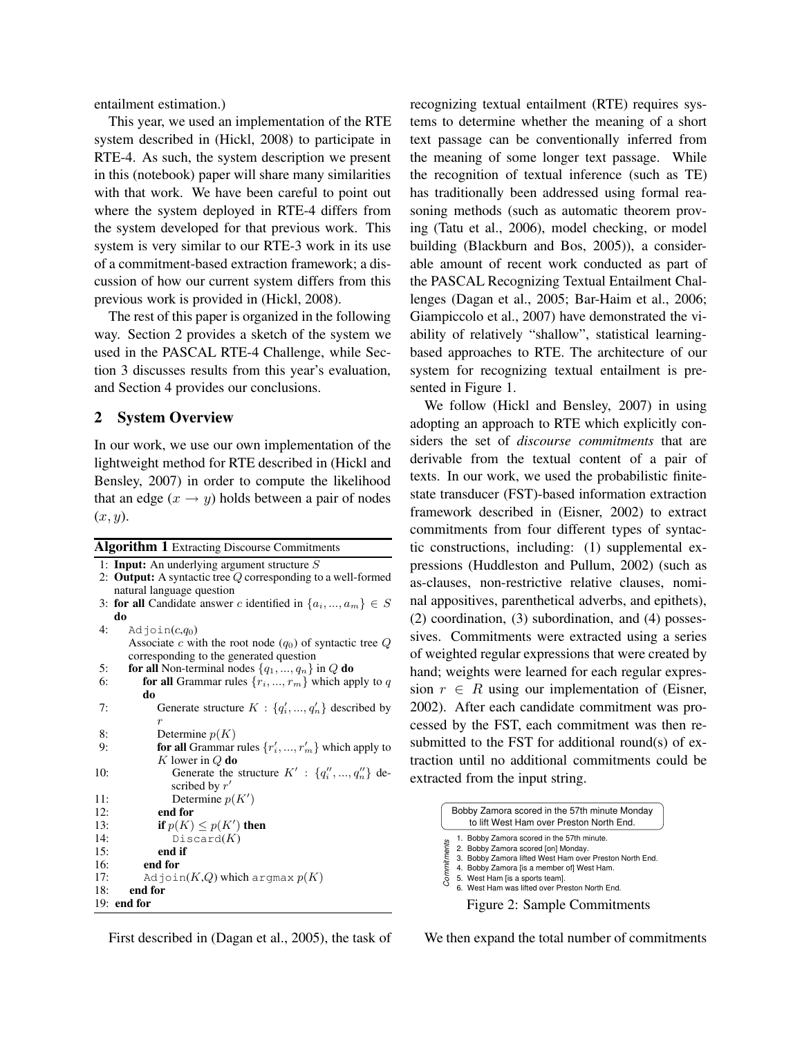entailment estimation.)

This year, we used an implementation of the RTE system described in (Hickl, 2008) to participate in RTE-4. As such, the system description we present in this (notebook) paper will share many similarities with that work. We have been careful to point out where the system deployed in RTE-4 differs from the system developed for that previous work. This system is very similar to our RTE-3 work in its use of a commitment-based extraction framework; a discussion of how our current system differs from this previous work is provided in (Hickl, 2008).

The rest of this paper is organized in the following way. Section 2 provides a sketch of the system we used in the PASCAL RTE-4 Challenge, while Section 3 discusses results from this year's evaluation, and Section 4 provides our conclusions.

## **2 System Overview**

In our work, we use our own implementation of the lightweight method for RTE described in (Hickl and Bensley, 2007) in order to compute the likelihood that an edge  $(x \rightarrow y)$  holds between a pair of nodes  $(x, y)$ .

|     | <b>Algorithm 1</b> Extracting Discourse Commitments                |  |  |  |  |  |
|-----|--------------------------------------------------------------------|--|--|--|--|--|
|     | 1: Input: An underlying argument structure $S$                     |  |  |  |  |  |
|     | 2: Output: A syntactic tree $Q$ corresponding to a well-formed     |  |  |  |  |  |
|     | natural language question                                          |  |  |  |  |  |
|     | 3: for all Candidate answer c identified in $\{a_i, , a_m\} \in S$ |  |  |  |  |  |
|     | do                                                                 |  |  |  |  |  |
| 4:  | Adjoin $(c,q_0)$                                                   |  |  |  |  |  |
|     | Associate c with the root node $(q_0)$ of syntactic tree Q         |  |  |  |  |  |
|     | corresponding to the generated question                            |  |  |  |  |  |
| 5:  | for all Non-terminal nodes $\{q_1, , q_n\}$ in Q do                |  |  |  |  |  |
| 6:  | <b>for all</b> Grammar rules $\{r_1, , r_m\}$ which apply to q     |  |  |  |  |  |
|     | do                                                                 |  |  |  |  |  |
| 7:  | Generate structure $K: \{q'_i, , q'_n\}$ described by              |  |  |  |  |  |
|     | $\boldsymbol{r}$                                                   |  |  |  |  |  |
| 8:  | Determine $p(K)$                                                   |  |  |  |  |  |
| 9:  | <b>for all</b> Grammar rules $\{r'_i, , r'_m\}$ which apply to     |  |  |  |  |  |
|     | K lower in $Q$ do                                                  |  |  |  |  |  |
| 10: | Generate the structure $K' : \{q''_i, , q''_n\}$ de-               |  |  |  |  |  |
|     | scribed by $r'$                                                    |  |  |  |  |  |
| 11: | Determine $p(K')$                                                  |  |  |  |  |  |
| 12: | end for                                                            |  |  |  |  |  |
| 13: | if $p(K) \leq p(K')$ then                                          |  |  |  |  |  |
| 14: | Discard(K)                                                         |  |  |  |  |  |
| 15: | end if                                                             |  |  |  |  |  |
| 16: | end for                                                            |  |  |  |  |  |
| 17: | Adjoin $(K,Q)$ which argmax $p(K)$                                 |  |  |  |  |  |
| 18: | end for                                                            |  |  |  |  |  |
|     | $19:$ end for                                                      |  |  |  |  |  |

recognizing textual entailment (RTE) requires systems to determine whether the meaning of a short text passage can be conventionally inferred from the meaning of some longer text passage. While the recognition of textual inference (such as TE) has traditionally been addressed using formal reasoning methods (such as automatic theorem proving (Tatu et al., 2006), model checking, or model building (Blackburn and Bos, 2005)), a considerable amount of recent work conducted as part of the PASCAL Recognizing Textual Entailment Challenges (Dagan et al., 2005; Bar-Haim et al., 2006; Giampiccolo et al., 2007) have demonstrated the viability of relatively "shallow", statistical learningbased approaches to RTE. The architecture of our system for recognizing textual entailment is presented in Figure 1.

We follow (Hickl and Bensley, 2007) in using adopting an approach to RTE which explicitly considers the set of *discourse commitments* that are derivable from the textual content of a pair of texts. In our work, we used the probabilistic finitestate transducer (FST)-based information extraction framework described in (Eisner, 2002) to extract commitments from four different types of syntactic constructions, including: (1) supplemental expressions (Huddleston and Pullum, 2002) (such as as-clauses, non-restrictive relative clauses, nominal appositives, parenthetical adverbs, and epithets), (2) coordination, (3) subordination, and (4) possessives. Commitments were extracted using a series of weighted regular expressions that were created by hand; weights were learned for each regular expression  $r \in R$  using our implementation of (Eisner, 2002). After each candidate commitment was processed by the FST, each commitment was then resubmitted to the FST for additional round(s) of extraction until no additional commitments could be extracted from the input string.

|             | Bobby Zamora scored in the 57th minute Monday<br>to lift West Ham over Preston North End.                                                                                                                                                                                                                       |
|-------------|-----------------------------------------------------------------------------------------------------------------------------------------------------------------------------------------------------------------------------------------------------------------------------------------------------------------|
| Commitments | 1. Bobby Zamora scored in the 57th minute.<br>2. Bobby Zamora scored [on] Monday.<br>3. Bobby Zamora lifted West Ham over Preston North End.<br>4. Bobby Zamora [is a member of] West Ham.<br>5. West Ham [is a sports team].<br>6. West Ham was lifted over Preston North End.<br>Figure 2: Sample Commitments |

First described in (Dagan et al., 2005), the task of

We then expand the total number of commitments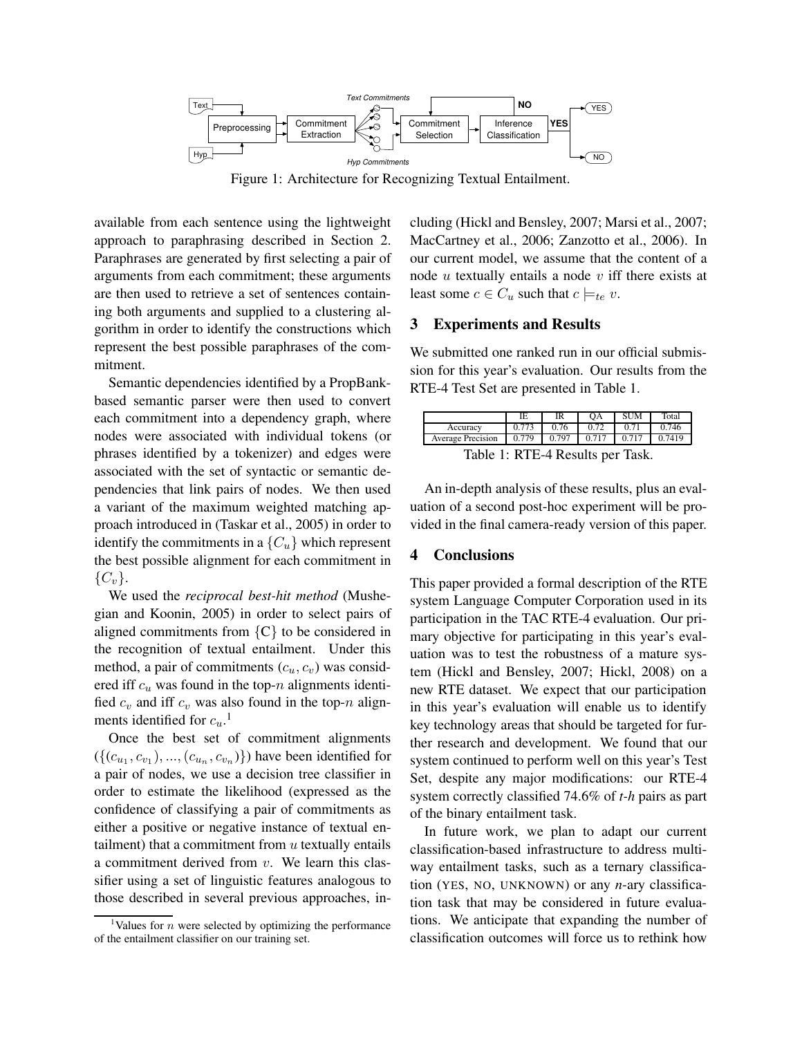

Figure 1: Architecture for Recognizing Textual Entailment.

available from each sentence using the lightweight approach to paraphrasing described in Section 2. Paraphrases are generated by first selecting a pair of arguments from each commitment; these arguments are then used to retrieve a set of sentences containing both arguments and supplied to a clustering algorithm in order to identify the constructions which represent the best possible paraphrases of the commitment.

Semantic dependencies identified by a PropBankbased semantic parser were then used to convert each commitment into a dependency graph, where nodes were associated with individual tokens (or phrases identified by a tokenizer) and edges were associated with the set of syntactic or semantic dependencies that link pairs of nodes. We then used a variant of the maximum weighted matching approach introduced in (Taskar et al., 2005) in order to identify the commitments in a  ${C<sub>u</sub>}$  which represent the best possible alignment for each commitment in  ${C_v}$ .

We used the *reciprocal best-hit method* (Mushegian and Koonin, 2005) in order to select pairs of aligned commitments from  $\{C\}$  to be considered in the recognition of textual entailment. Under this method, a pair of commitments  $(c_u, c_v)$  was considered iff  $c_u$  was found in the top-n alignments identified  $c_v$  and iff  $c_v$  was also found in the top-n alignments identified for  $c_u$ .<sup>1</sup>

Once the best set of commitment alignments  $({c_{u_1}, c_{v_1}), ..., (c_{u_n}, c_{v_n})})$  have been identified for a pair of nodes, we use a decision tree classifier in order to estimate the likelihood (expressed as the confidence of classifying a pair of commitments as either a positive or negative instance of textual entailment) that a commitment from  $u$  textually entails a commitment derived from v. We learn this classifier using a set of linguistic features analogous to those described in several previous approaches, including (Hickl and Bensley, 2007; Marsi et al., 2007; MacCartney et al., 2006; Zanzotto et al., 2006). In our current model, we assume that the content of a node  $u$  textually entails a node  $v$  iff there exists at least some  $c \in C_u$  such that  $c \models_{te} v$ .

## **3 Experiments and Results**

We submitted one ranked run in our official submission for this year's evaluation. Our results from the RTE-4 Test Set are presented in Table 1.

|                                  | IE    |       | OΑ    | <b>SUM</b> | Total |  |  |  |  |
|----------------------------------|-------|-------|-------|------------|-------|--|--|--|--|
| Accuracy                         |       | 0.76  | 0.72  |            | 0.746 |  |  |  |  |
| <b>Average Precision</b>         | 0.779 | 0.797 | 0.717 |            |       |  |  |  |  |
| Table 1: RTE-4 Results per Task. |       |       |       |            |       |  |  |  |  |

An in-depth analysis of these results, plus an evaluation of a second post-hoc experiment will be provided in the final camera-ready version of this paper.

### **4 Conclusions**

This paper provided a formal description of the RTE system Language Computer Corporation used in its participation in the TAC RTE-4 evaluation. Our primary objective for participating in this year's evaluation was to test the robustness of a mature system (Hickl and Bensley, 2007; Hickl, 2008) on a new RTE dataset. We expect that our participation in this year's evaluation will enable us to identify key technology areas that should be targeted for further research and development. We found that our system continued to perform well on this year's Test Set, despite any major modifications: our RTE-4 system correctly classified 74.6% of *t-h* pairs as part of the binary entailment task.

In future work, we plan to adapt our current classification-based infrastructure to address multiway entailment tasks, such as a ternary classification (YES, NO, UNKNOWN) or any *n*-ary classification task that may be considered in future evaluations. We anticipate that expanding the number of classification outcomes will force us to rethink how

<sup>&</sup>lt;sup>1</sup>Values for *n* were selected by optimizing the performance of the entailment classifier on our training set.